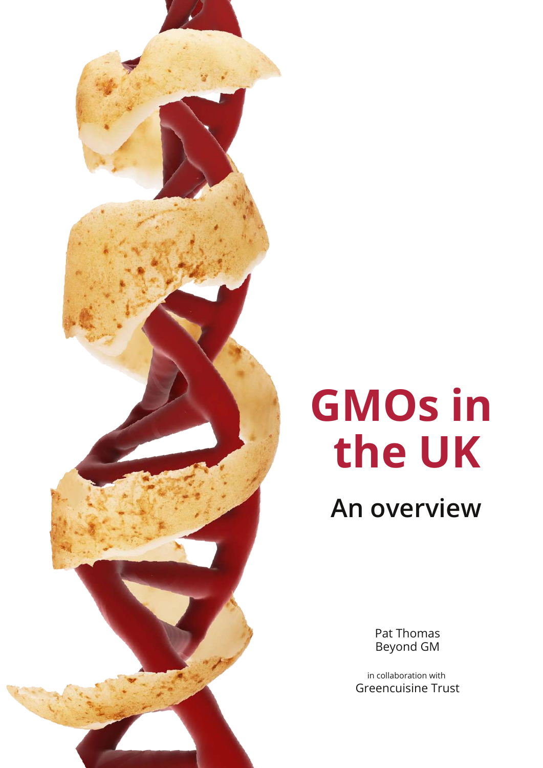# **GMOs in the UK**

**An overview**

Pat Thomas Beyond GM

in collaboration with Greencuisine Trust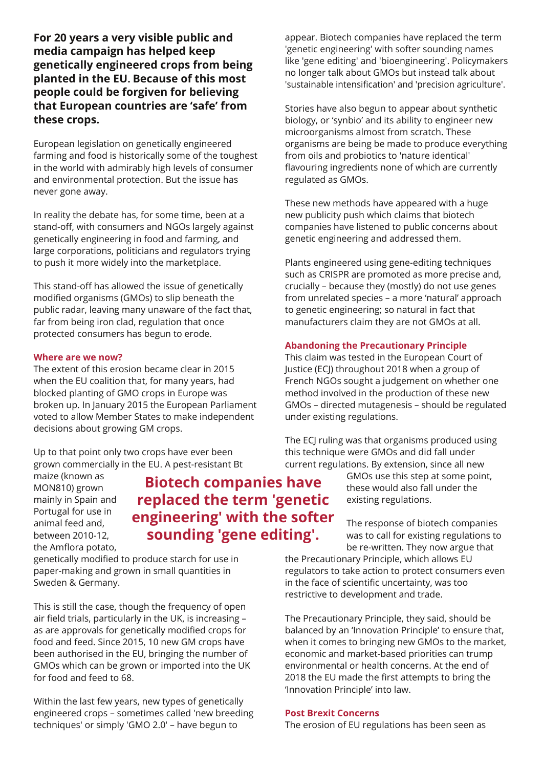**For 20 years a very visible public and media campaign has helped keep genetically engineered crops from being planted in the EU. Because of this most people could be forgiven for believing that European countries are 'safe' from these crops.**

European legislation on genetically engineered farming and food is historically some of the toughest in the world with admirably high levels of consumer and environmental protection. But the issue has never gone away.

In reality the debate has, for some time, been at a stand-off, with consumers and NGOs largely against genetically engineering in food and farming, and large corporations, politicians and regulators trying to push it more widely into the marketplace.

This stand-off has allowed the issue of genetically modified organisms (GMOs) to slip beneath the public radar, leaving many unaware of the fact that, far from being iron clad, regulation that once protected consumers has begun to erode.

## **Where are we now?**

The extent of this erosion became clear in 2015 when the EU coalition that, for many years, had blocked planting of GMO crops in Europe was broken up. In January 2015 the European Parliament voted to allow Member States to make independent decisions about growing GM crops.

Up to that point only two crops have ever been grown commercially in the EU. A pest-resistant Bt

maize (known as MON810) grown mainly in Spain and Portugal for use in animal feed and, between 2010-12, the Amflora potato,

**Biotech companies have replaced the term 'genetic engineering' with the softer sounding 'gene editing'.**

genetically modified to produce starch for use in paper-making and grown in small quantities in Sweden & Germany.

This is still the case, though the frequency of open air field trials, particularly in the UK, is increasing – as are approvals for genetically modified crops for food and feed. Since 2015, 10 new GM crops have been authorised in the EU, bringing the number of GMOs which can be grown or imported into the UK for food and feed to 68.

Within the last few years, new types of genetically engineered crops – sometimes called 'new breeding techniques' or simply 'GMO 2.0' – have begun to

appear. Biotech companies have replaced the term 'genetic engineering' with softer sounding names like 'gene editing' and 'bioengineering'. Policymakers no longer talk about GMOs but instead talk about 'sustainable intensification' and 'precision agriculture'.

Stories have also begun to appear about synthetic biology, or 'synbio' and its ability to engineer new microorganisms almost from scratch. These organisms are being be made to produce everything from oils and probiotics to 'nature identical' flavouring ingredients none of which are currently regulated as GMOs.

These new methods have appeared with a huge new publicity push which claims that biotech companies have listened to public concerns about genetic engineering and addressed them.

Plants engineered using gene-editing techniques such as CRISPR are promoted as more precise and, crucially – because they (mostly) do not use genes from unrelated species – a more 'natural' approach to genetic engineering; so natural in fact that manufacturers claim they are not GMOs at all.

## **Abandoning the Precautionary Principle**

This claim was tested in the European Court of Justice (ECJ) throughout 2018 when a group of French NGOs sought a judgement on whether one method involved in the production of these new GMOs – directed mutagenesis – should be regulated under existing regulations.

The ECJ ruling was that organisms produced using this technique were GMOs and did fall under current regulations. By extension, since all new

> GMOs use this step at some point, these would also fall under the existing regulations.

The response of biotech companies was to call for existing regulations to be re-written. They now argue that

the Precautionary Principle, which allows EU regulators to take action to protect consumers even in the face of scientific uncertainty, was too restrictive to development and trade.

The Precautionary Principle, they said, should be balanced by an 'Innovation Principle' to ensure that, when it comes to bringing new GMOs to the market, economic and market-based priorities can trump environmental or health concerns. At the end of 2018 the EU made the first attempts to bring the 'Innovation Principle' into law.

#### **Post Brexit Concerns**

The erosion of EU regulations has been seen as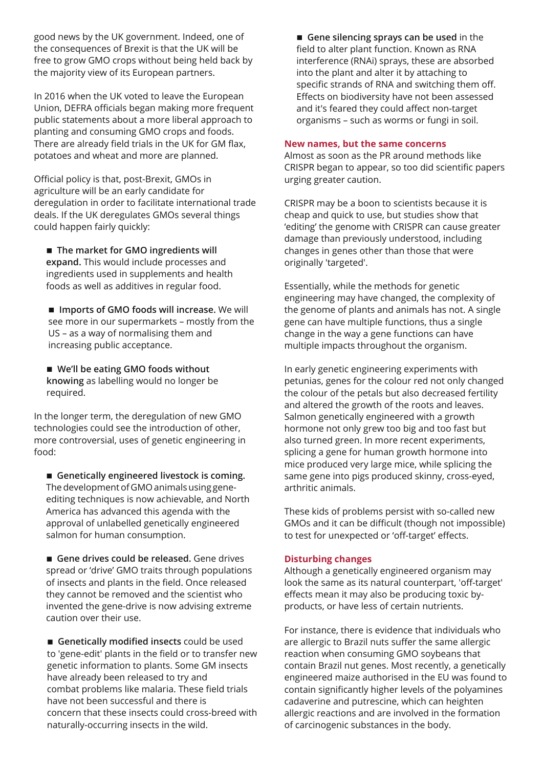good news by the UK government. Indeed, one of the consequences of Brexit is that the UK will be free to grow GMO crops without being held back by the majority view of its European partners.

In 2016 when the UK voted to leave the European Union, DEFRA officials began making more frequent public statements about a more liberal approach to planting and consuming GMO crops and foods. There are already field trials in the UK for GM flax, potatoes and wheat and more are planned.

Official policy is that, post-Brexit, GMOs in agriculture will be an early candidate for deregulation in order to facilitate international trade deals. If the UK deregulates GMOs several things could happen fairly quickly:

**The market for GMO ingredients will expand.** This would include processes and ingredients used in supplements and health foods as well as additives in regular food.

**Imports of GMO foods will increase.** We will see more in our supermarkets – mostly from the US – as a way of normalising them and increasing public acceptance.

**We'll be eating GMO foods without knowing** as labelling would no longer be required.

In the longer term, the deregulation of new GMO technologies could see the introduction of other, more controversial, uses of genetic engineering in food:

**Genetically engineered livestock is coming.** The development of GMO animals using geneediting techniques is now achievable, and North America has advanced this agenda with the approval of unlabelled genetically engineered salmon for human consumption.

**Gene drives could be released.** Gene drives spread or 'drive' GMO traits through populations of insects and plants in the field. Once released they cannot be removed and the scientist who invented the gene-drive is now advising extreme caution over their use.

**Genetically modified insects** could be used to 'gene-edit' plants in the field or to transfer new genetic information to plants. Some GM insects have already been released to try and combat problems like malaria. These field trials have not been successful and there is concern that these insects could cross-breed with naturally-occurring insects in the wild.

**Gene silencing sprays can be used** in the field to alter plant function. Known as RNA interference (RNAi) sprays, these are absorbed into the plant and alter it by attaching to specific strands of RNA and switching them off. Effects on biodiversity have not been assessed and it's feared they could affect non-target organisms – such as worms or fungi in soil.

#### **New names, but the same concerns**

Almost as soon as the PR around methods like CRISPR began to appear, so too did scientific papers urging greater caution.

CRISPR may be a boon to scientists because it is cheap and quick to use, but studies show that 'editing' the genome with CRISPR can cause greater damage than previously understood, including changes in genes other than those that were originally 'targeted'.

Essentially, while the methods for genetic engineering may have changed, the complexity of the genome of plants and animals has not. A single gene can have multiple functions, thus a single change in the way a gene functions can have multiple impacts throughout the organism.

In early genetic engineering experiments with petunias, genes for the colour red not only changed the colour of the petals but also decreased fertility and altered the growth of the roots and leaves. Salmon genetically engineered with a growth hormone not only grew too big and too fast but also turned green. In more recent experiments, splicing a gene for human growth hormone into mice produced very large mice, while splicing the same gene into pigs produced skinny, cross-eyed, arthritic animals.

These kids of problems persist with so-called new GMOs and it can be difficult (though not impossible) to test for unexpected or 'off-target' effects.

#### **Disturbing changes**

Although a genetically engineered organism may look the same as its natural counterpart, 'off-target' effects mean it may also be producing toxic byproducts, or have less of certain nutrients.

For instance, there is evidence that individuals who are allergic to Brazil nuts suffer the same allergic reaction when consuming GMO soybeans that contain Brazil nut genes. Most recently, a genetically engineered maize authorised in the EU was found to contain significantly higher levels of the polyamines cadaverine and putrescine, which can heighten allergic reactions and are involved in the formation of carcinogenic substances in the body.